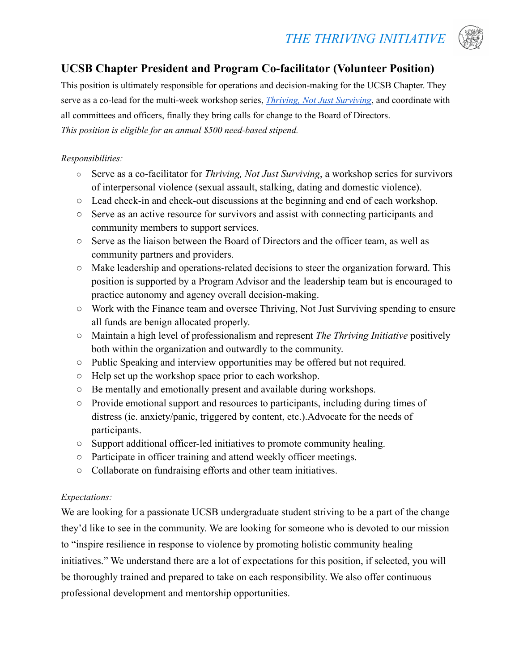# *THE THRIVING INITIATIVE*



# **UCSB Chapter President and Program Co-facilitator (Volunteer Position)**

This position is ultimately responsible for operations and decision-making for the UCSB Chapter. They serve as a co-lead for the multi-week workshop series, *Thriving, Not Just [Surviving](https://www.thethrivinginitiative.org/thriving-not-just-surviving)*, and coordinate with all committees and officers, finally they bring calls for change to the Board of Directors. *This position is eligible for an annual \$500 need-based stipend.*

#### *Responsibilities:*

- **○** Serve as a co-facilitator for *Thriving, Not Just Surviving*, a workshop series for survivors of interpersonal violence (sexual assault, stalking, dating and domestic violence).
- **○** Lead check-in and check-out discussions at the beginning and end of each workshop.
- **○** Serve as an active resource for survivors and assist with connecting participants and community members to support services.
- **○** Serve as the liaison between the Board of Directors and the officer team, as well as community partners and providers.
- **○** Make leadership and operations-related decisions to steer the organization forward. This position is supported by a Program Advisor and the leadership team but is encouraged to practice autonomy and agency overall decision-making.
- **○** Work with the Finance team and oversee Thriving, Not Just Surviving spending to ensure all funds are benign allocated properly.
- **○** Maintain a high level of professionalism and represent *The Thriving Initiative* positively both within the organization and outwardly to the community.
- **○** Public Speaking and interview opportunities may be offered but not required.
- **○** Help set up the workshop space prior to each workshop.
- **○** Be mentally and emotionally present and available during workshops.
- **○** Provide emotional support and resources to participants, including during times of distress (ie. anxiety/panic, triggered by content, etc.).Advocate for the needs of participants.
- **○** Support additional officer-led initiatives to promote community healing.
- **○** Participate in officer training and attend weekly officer meetings.
- **○** Collaborate on fundraising efforts and other team initiatives.

## *Expectations:*

We are looking for a passionate UCSB undergraduate student striving to be a part of the change they'd like to see in the community. We are looking for someone who is devoted to our mission to "inspire resilience in response to violence by promoting holistic community healing initiatives." We understand there are a lot of expectations for this position, if selected, you will be thoroughly trained and prepared to take on each responsibility. We also offer continuous professional development and mentorship opportunities.